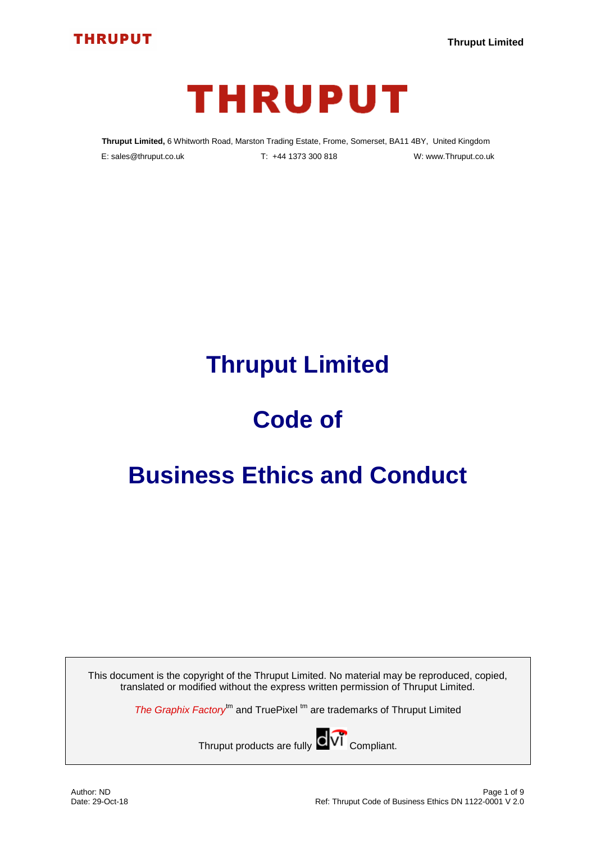



**Thruput Limited,** 6 Whitworth Road, Marston Trading Estate, Frome, Somerset, BA11 4BY, United Kingdom E: sales@thruput.co.uk T: +44 1373 300 818 W: www.Thruput.co.uk

## **Thruput Limited**

# **Code of**

## **Business Ethics and Conduct**

This document is the copyright of the Thruput Limited. No material may be reproduced, copied, translated or modified without the express written permission of Thruput Limited.

*The Graphix Factory*<sup>tm</sup> and TruePixel<sup>tm</sup> are trademarks of Thruput Limited

Thruput products are fully **COVI** Compliant.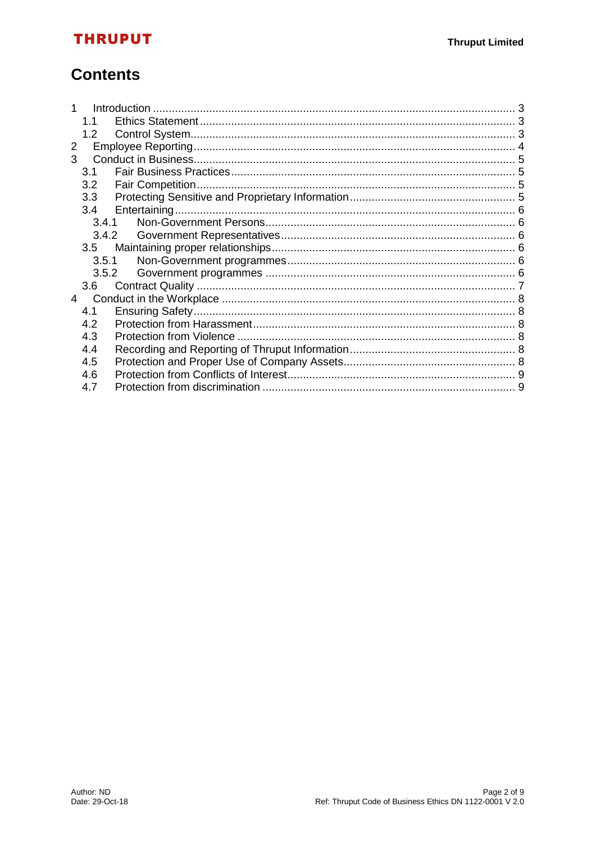## **THRUPUT**

## **Contents**

|   | 1.1   |  |  |  |
|---|-------|--|--|--|
|   | 1.2   |  |  |  |
| 2 |       |  |  |  |
| 3 |       |  |  |  |
|   | 3.1   |  |  |  |
|   | 3.2   |  |  |  |
|   | 3.3   |  |  |  |
|   | 3.4   |  |  |  |
|   | 3.4.1 |  |  |  |
|   | 3.4.2 |  |  |  |
|   | 3.5   |  |  |  |
|   | 3.5.1 |  |  |  |
|   | 3.5.2 |  |  |  |
|   | 3.6   |  |  |  |
| 4 |       |  |  |  |
|   | 4.1   |  |  |  |
|   | 4.2   |  |  |  |
|   | 4.3   |  |  |  |
|   | 4.4   |  |  |  |
|   | 4.5   |  |  |  |
|   | 4.6   |  |  |  |
|   | 4.7   |  |  |  |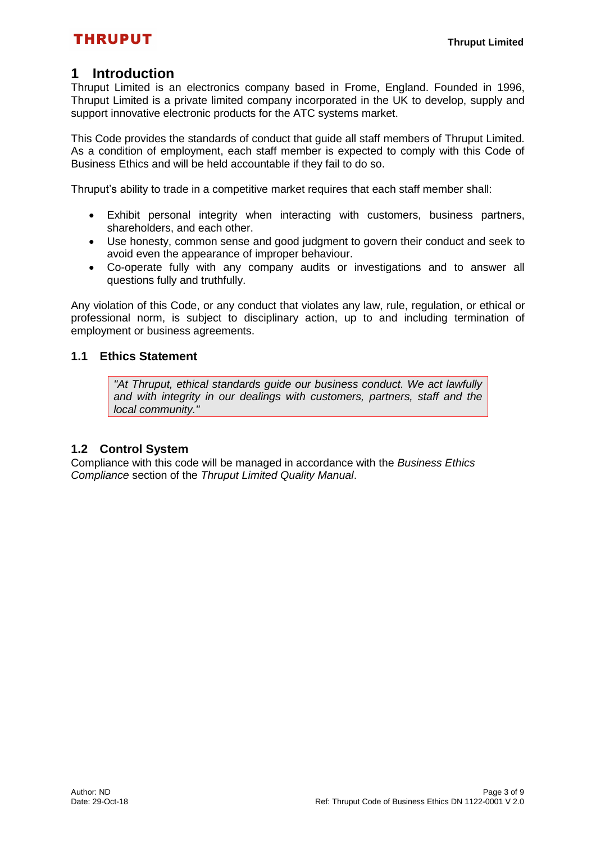### <span id="page-2-0"></span>**1 Introduction**

Thruput Limited is an electronics company based in Frome, England. Founded in 1996, Thruput Limited is a private limited company incorporated in the UK to develop, supply and support innovative electronic products for the ATC systems market.

This Code provides the standards of conduct that guide all staff members of Thruput Limited. As a condition of employment, each staff member is expected to comply with this Code of Business Ethics and will be held accountable if they fail to do so.

Thruput's ability to trade in a competitive market requires that each staff member shall:

- Exhibit personal integrity when interacting with customers, business partners, shareholders, and each other.
- Use honesty, common sense and good judgment to govern their conduct and seek to avoid even the appearance of improper behaviour.
- Co-operate fully with any company audits or investigations and to answer all questions fully and truthfully.

Any violation of this Code, or any conduct that violates any law, rule, regulation, or ethical or professional norm, is subject to disciplinary action, up to and including termination of employment or business agreements.

#### <span id="page-2-1"></span>**1.1 Ethics Statement**

*"At Thruput, ethical standards guide our business conduct. We act lawfully and with integrity in our dealings with customers, partners, staff and the local community."* 

#### <span id="page-2-2"></span>**1.2 Control System**

Compliance with this code will be managed in accordance with the *Business Ethics Compliance* section of the *Thruput Limited Quality Manual*.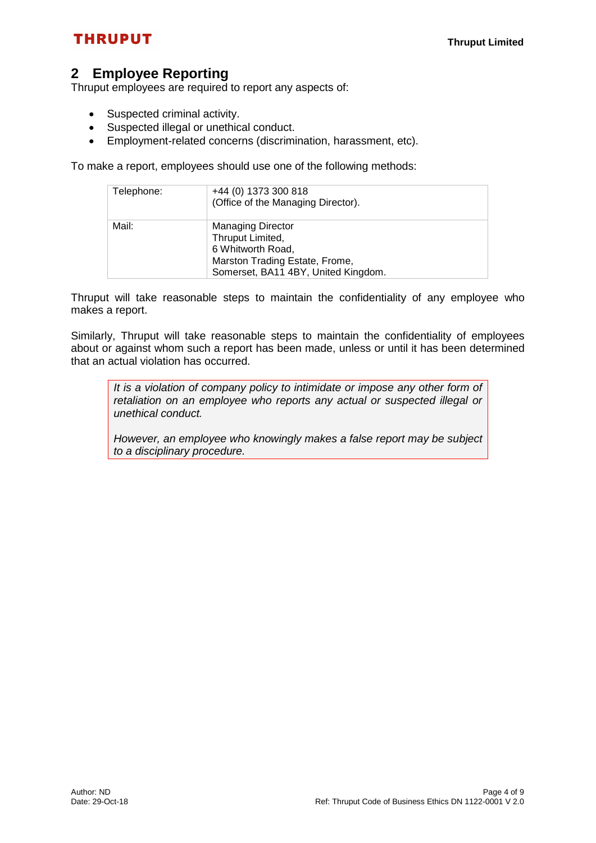## **THRUPUT**

## <span id="page-3-0"></span>**2 Employee Reporting**

Thruput employees are required to report any aspects of:

- Suspected criminal activity.
- Suspected illegal or unethical conduct.
- Employment-related concerns (discrimination, harassment, etc).

To make a report, employees should use one of the following methods:

| Telephone: | +44 (0) 1373 300 818<br>(Office of the Managing Director).                                                                                 |
|------------|--------------------------------------------------------------------------------------------------------------------------------------------|
| Mail:      | <b>Managing Director</b><br>Thruput Limited,<br>6 Whitworth Road,<br>Marston Trading Estate, Frome,<br>Somerset, BA11 4BY, United Kingdom. |

Thruput will take reasonable steps to maintain the confidentiality of any employee who makes a report.

Similarly, Thruput will take reasonable steps to maintain the confidentiality of employees about or against whom such a report has been made, unless or until it has been determined that an actual violation has occurred.

*It is a violation of company policy to intimidate or impose any other form of retaliation on an employee who reports any actual or suspected illegal or unethical conduct.* 

*However, an employee who knowingly makes a false report may be subject to a disciplinary procedure.*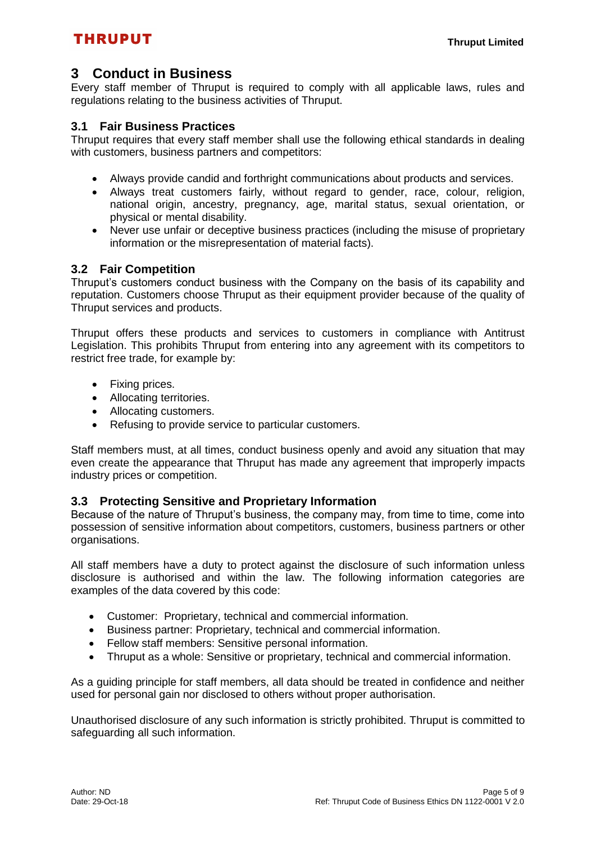### <span id="page-4-0"></span>**3 Conduct in Business**

Every staff member of Thruput is required to comply with all applicable laws, rules and regulations relating to the business activities of Thruput.

#### <span id="page-4-1"></span>**3.1 Fair Business Practices**

Thruput requires that every staff member shall use the following ethical standards in dealing with customers, business partners and competitors:

- Always provide candid and forthright communications about products and services.
- Always treat customers fairly, without regard to gender, race, colour, religion, national origin, ancestry, pregnancy, age, marital status, sexual orientation, or physical or mental disability.
- Never use unfair or deceptive business practices (including the misuse of proprietary information or the misrepresentation of material facts).

#### <span id="page-4-2"></span>**3.2 Fair Competition**

Thruput's customers conduct business with the Company on the basis of its capability and reputation. Customers choose Thruput as their equipment provider because of the quality of Thruput services and products.

Thruput offers these products and services to customers in compliance with Antitrust Legislation. This prohibits Thruput from entering into any agreement with its competitors to restrict free trade, for example by:

- Fixing prices.
- Allocating territories.
- Allocating customers.
- Refusing to provide service to particular customers.

Staff members must, at all times, conduct business openly and avoid any situation that may even create the appearance that Thruput has made any agreement that improperly impacts industry prices or competition.

#### <span id="page-4-3"></span>**3.3 Protecting Sensitive and Proprietary Information**

Because of the nature of Thruput's business, the company may, from time to time, come into possession of sensitive information about competitors, customers, business partners or other organisations.

All staff members have a duty to protect against the disclosure of such information unless disclosure is authorised and within the law. The following information categories are examples of the data covered by this code:

- Customer: Proprietary, technical and commercial information.
- Business partner: Proprietary, technical and commercial information.
- Fellow staff members: Sensitive personal information.
- Thruput as a whole: Sensitive or proprietary, technical and commercial information.

As a guiding principle for staff members, all data should be treated in confidence and neither used for personal gain nor disclosed to others without proper authorisation.

Unauthorised disclosure of any such information is strictly prohibited. Thruput is committed to safeguarding all such information.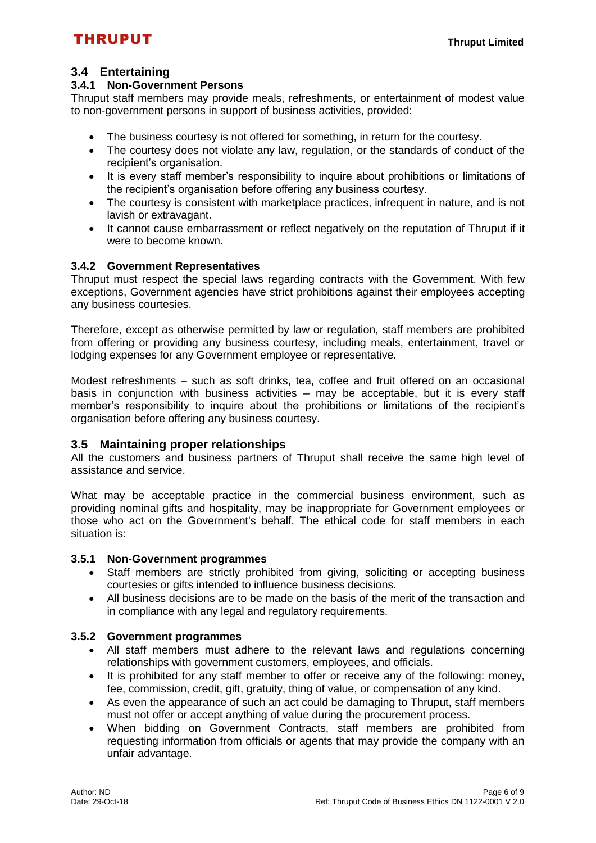#### <span id="page-5-0"></span>**3.4 Entertaining**

#### <span id="page-5-1"></span>**3.4.1 Non-Government Persons**

Thruput staff members may provide meals, refreshments, or entertainment of modest value to non-government persons in support of business activities, provided:

- The business courtesy is not offered for something, in return for the courtesy.
- The courtesy does not violate any law, regulation, or the standards of conduct of the recipient's organisation.
- It is every staff member's responsibility to inquire about prohibitions or limitations of the recipient's organisation before offering any business courtesy.
- The courtesy is consistent with marketplace practices, infrequent in nature, and is not lavish or extravagant.
- It cannot cause embarrassment or reflect negatively on the reputation of Thruput if it were to become known.

#### <span id="page-5-2"></span>**3.4.2 Government Representatives**

Thruput must respect the special laws regarding contracts with the Government. With few exceptions, Government agencies have strict prohibitions against their employees accepting any business courtesies.

Therefore, except as otherwise permitted by law or regulation, staff members are prohibited from offering or providing any business courtesy, including meals, entertainment, travel or lodging expenses for any Government employee or representative.

Modest refreshments – such as soft drinks, tea, coffee and fruit offered on an occasional basis in conjunction with business activities – may be acceptable, but it is every staff member's responsibility to inquire about the prohibitions or limitations of the recipient's organisation before offering any business courtesy.

#### <span id="page-5-3"></span>**3.5 Maintaining proper relationships**

All the customers and business partners of Thruput shall receive the same high level of assistance and service.

What may be acceptable practice in the commercial business environment, such as providing nominal gifts and hospitality, may be inappropriate for Government employees or those who act on the Government's behalf. The ethical code for staff members in each situation is:

#### <span id="page-5-4"></span>**3.5.1 Non-Government programmes**

- Staff members are strictly prohibited from giving, soliciting or accepting business courtesies or gifts intended to influence business decisions.
- All business decisions are to be made on the basis of the merit of the transaction and in compliance with any legal and regulatory requirements.

#### <span id="page-5-5"></span>**3.5.2 Government programmes**

- All staff members must adhere to the relevant laws and regulations concerning relationships with government customers, employees, and officials.
- It is prohibited for any staff member to offer or receive any of the following: money, fee, commission, credit, gift, gratuity, thing of value, or compensation of any kind.
- As even the appearance of such an act could be damaging to Thruput, staff members must not offer or accept anything of value during the procurement process.
- When bidding on Government Contracts, staff members are prohibited from requesting information from officials or agents that may provide the company with an unfair advantage.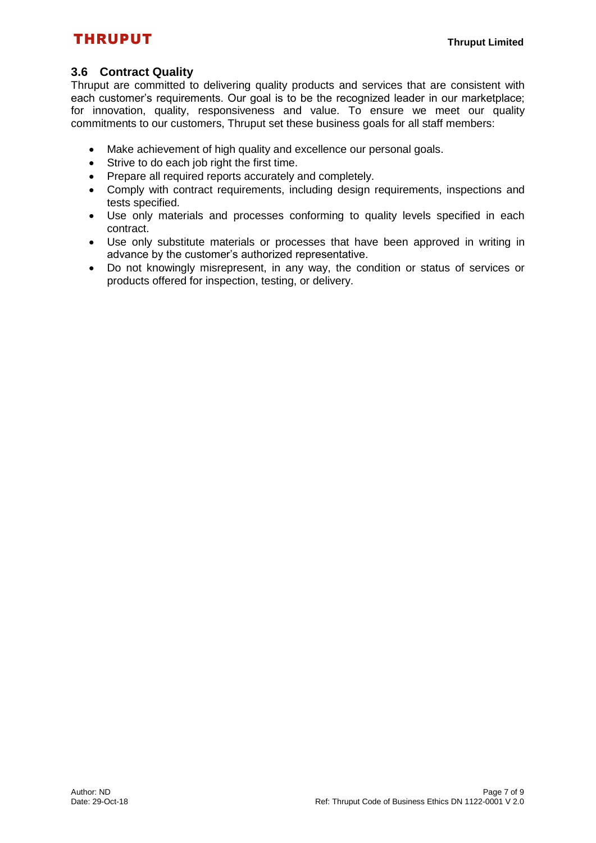## **THRUPUT**

#### <span id="page-6-0"></span>**3.6 Contract Quality**

Thruput are committed to delivering quality products and services that are consistent with each customer's requirements. Our goal is to be the recognized leader in our marketplace; for innovation, quality, responsiveness and value. To ensure we meet our quality commitments to our customers, Thruput set these business goals for all staff members:

- Make achievement of high quality and excellence our personal goals.
- Strive to do each job right the first time.
- Prepare all required reports accurately and completely.
- Comply with contract requirements, including design requirements, inspections and tests specified.
- Use only materials and processes conforming to quality levels specified in each contract.
- Use only substitute materials or processes that have been approved in writing in advance by the customer's authorized representative.
- Do not knowingly misrepresent, in any way, the condition or status of services or products offered for inspection, testing, or delivery.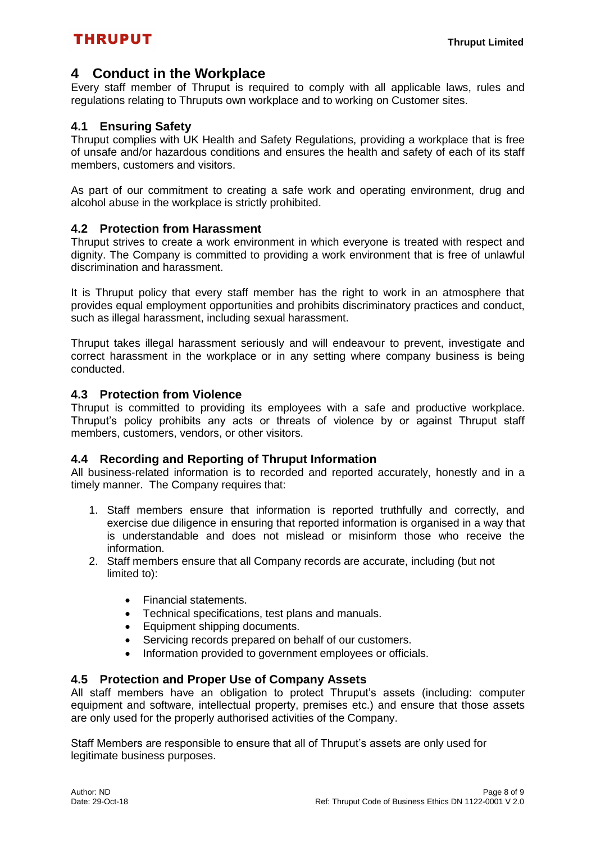### <span id="page-7-0"></span>**4 Conduct in the Workplace**

Every staff member of Thruput is required to comply with all applicable laws, rules and regulations relating to Thruputs own workplace and to working on Customer sites.

#### <span id="page-7-1"></span>**4.1 Ensuring Safety**

Thruput complies with UK Health and Safety Regulations, providing a workplace that is free of unsafe and/or hazardous conditions and ensures the health and safety of each of its staff members, customers and visitors.

As part of our commitment to creating a safe work and operating environment, drug and alcohol abuse in the workplace is strictly prohibited.

#### <span id="page-7-2"></span>**4.2 Protection from Harassment**

Thruput strives to create a work environment in which everyone is treated with respect and dignity. The Company is committed to providing a work environment that is free of unlawful discrimination and harassment.

It is Thruput policy that every staff member has the right to work in an atmosphere that provides equal employment opportunities and prohibits discriminatory practices and conduct, such as illegal harassment, including sexual harassment.

Thruput takes illegal harassment seriously and will endeavour to prevent, investigate and correct harassment in the workplace or in any setting where company business is being conducted.

#### <span id="page-7-3"></span>**4.3 Protection from Violence**

Thruput is committed to providing its employees with a safe and productive workplace. Thruput's policy prohibits any acts or threats of violence by or against Thruput staff members, customers, vendors, or other visitors.

#### <span id="page-7-4"></span>**4.4 Recording and Reporting of Thruput Information**

All business-related information is to recorded and reported accurately, honestly and in a timely manner. The Company requires that:

- 1. Staff members ensure that information is reported truthfully and correctly, and exercise due diligence in ensuring that reported information is organised in a way that is understandable and does not mislead or misinform those who receive the information.
- 2. Staff members ensure that all Company records are accurate, including (but not limited to):
	- Financial statements.
	- Technical specifications, test plans and manuals.
	- Equipment shipping documents.
	- Servicing records prepared on behalf of our customers.
	- Information provided to government employees or officials.

#### <span id="page-7-5"></span>**4.5 Protection and Proper Use of Company Assets**

All staff members have an obligation to protect Thruput's assets (including: computer equipment and software, intellectual property, premises etc.) and ensure that those assets are only used for the properly authorised activities of the Company.

Staff Members are responsible to ensure that all of Thruput's assets are only used for legitimate business purposes.